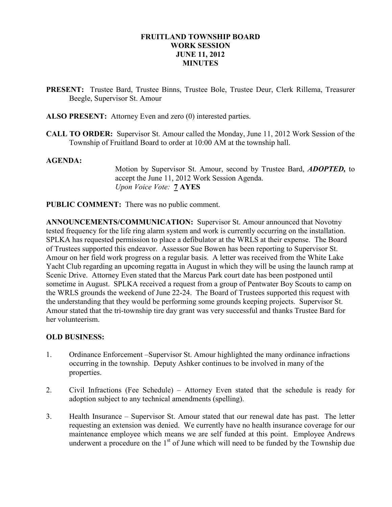### FRUITLAND TOWNSHIP BOARD WORK SESSION JUNE 11, 2012 **MINUTES**

- PRESENT: Trustee Bard, Trustee Binns, Trustee Bole, Trustee Deur, Clerk Rillema, Treasurer Beegle, Supervisor St. Amour
- ALSO PRESENT: Attorney Even and zero (0) interested parties.
- CALL TO ORDER: Supervisor St. Amour called the Monday, June 11, 2012 Work Session of the Township of Fruitland Board to order at 10:00 AM at the township hall.

### AGENDA:

Motion by Supervisor St. Amour, second by Trustee Bard, ADOPTED, to accept the June 11, 2012 Work Session Agenda. Upon Voice Vote: 7 AYES

PUBLIC COMMENT: There was no public comment.

ANNOUNCEMENTS/COMMUNICATION: Supervisor St. Amour announced that Novotny tested frequency for the life ring alarm system and work is currently occurring on the installation. SPLKA has requested permission to place a defibulator at the WRLS at their expense. The Board of Trustees supported this endeavor. Assessor Sue Bowen has been reporting to Supervisor St. Amour on her field work progress on a regular basis. A letter was received from the White Lake Yacht Club regarding an upcoming regatta in August in which they will be using the launch ramp at Scenic Drive. Attorney Even stated that the Marcus Park court date has been postponed until sometime in August. SPLKA received a request from a group of Pentwater Boy Scouts to camp on the WRLS grounds the weekend of June 22-24. The Board of Trustees supported this request with the understanding that they would be performing some grounds keeping projects. Supervisor St. Amour stated that the tri-township tire day grant was very successful and thanks Trustee Bard for her volunteerism.

#### OLD BUSINESS:

- 1. Ordinance Enforcement –Supervisor St. Amour highlighted the many ordinance infractions occurring in the township. Deputy Ashker continues to be involved in many of the properties.
- 2. Civil Infractions (Fee Schedule) Attorney Even stated that the schedule is ready for adoption subject to any technical amendments (spelling).
- 3. Health Insurance Supervisor St. Amour stated that our renewal date has past. The letter requesting an extension was denied. We currently have no health insurance coverage for our maintenance employee which means we are self funded at this point. Employee Andrews underwent a procedure on the  $1<sup>st</sup>$  of June which will need to be funded by the Township due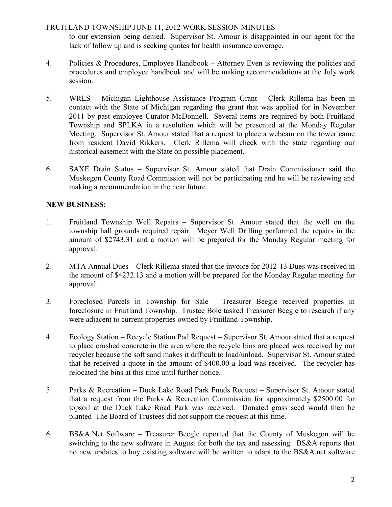# FRUITLAND TOWNSHIP JUNE 11, 2012 WORK SESSION MINUTES

to our extension being denied. Supervisor St. Amour is disappointed in our agent for the lack of follow up and is seeking quotes for health insurance coverage.

- 4. Policies & Procedures, Employee Handbook Attorney Even is reviewing the policies and procedures and employee handbook and will be making recommendations at the July work session.
- 5. WRLS Michigan Lighthouse Assistance Program Grant Clerk Rillema has been in contact with the State of Michigan regarding the grant that was applied for in November 2011 by past employee Curator McDonnell. Several items are required by both Fruitland Township and SPLKA in a resolution which will be presented at the Monday Regular Meeting. Supervisor St. Amour stated that a request to place a webcam on the tower came from resident David Rikkers. Clerk Rillema will check with the state regarding our historical easement with the State on possible placement.
- 6. SAXE Drain Status Supervisor St. Amour stated that Drain Commissioner said the Muskegon County Road Commission will not be participating and he will be reviewing and making a recommendation in the near future.

# NEW BUSINESS:

- 1. Fruitland Township Well Repairs Supervisor St. Amour stated that the well on the township hall grounds required repair. Meyer Well Drilling performed the repairs in the amount of \$2743.31 and a motion will be prepared for the Monday Regular meeting for approval.
- 2. MTA Annual Dues Clerk Rillema stated that the invoice for 2012-13 Dues was received in the amount of \$4232.13 and a motion will be prepared for the Monday Regular meeting for approval.
- 3. Foreclosed Parcels in Township for Sale Treasurer Beegle received properties in foreclosure in Fruitland Township. Trustee Bole tasked Treasurer Beegle to research if any were adjacent to current properties owned by Fruitland Township.
- 4. Ecology Station Recycle Station Pad Request Supervisor St. Amour stated that a request to place crushed concrete in the area where the recycle bins are placed was received by our recycler because the soft sand makes it difficult to load/unload. Supervisor St. Amour stated that he received a quote in the amount of \$400.00 a load was received. The recycler has relocated the bins at this time until further notice.
- 5. Parks & Recreation Duck Lake Road Park Funds Request Supervisor St. Amour stated that a request from the Parks & Recreation Commission for approximately \$2500.00 for topsoil at the Duck Lake Road Park was received. Donated grass seed would then be planted The Board of Trustees did not support the request at this time.
- 6. BS&A.Net Software Treasurer Beegle reported that the County of Muskegon will be switching to the new software in August for both the tax and assessing. BS&A reports that no new updates to buy existing software will be written to adapt to the BS&A.net software